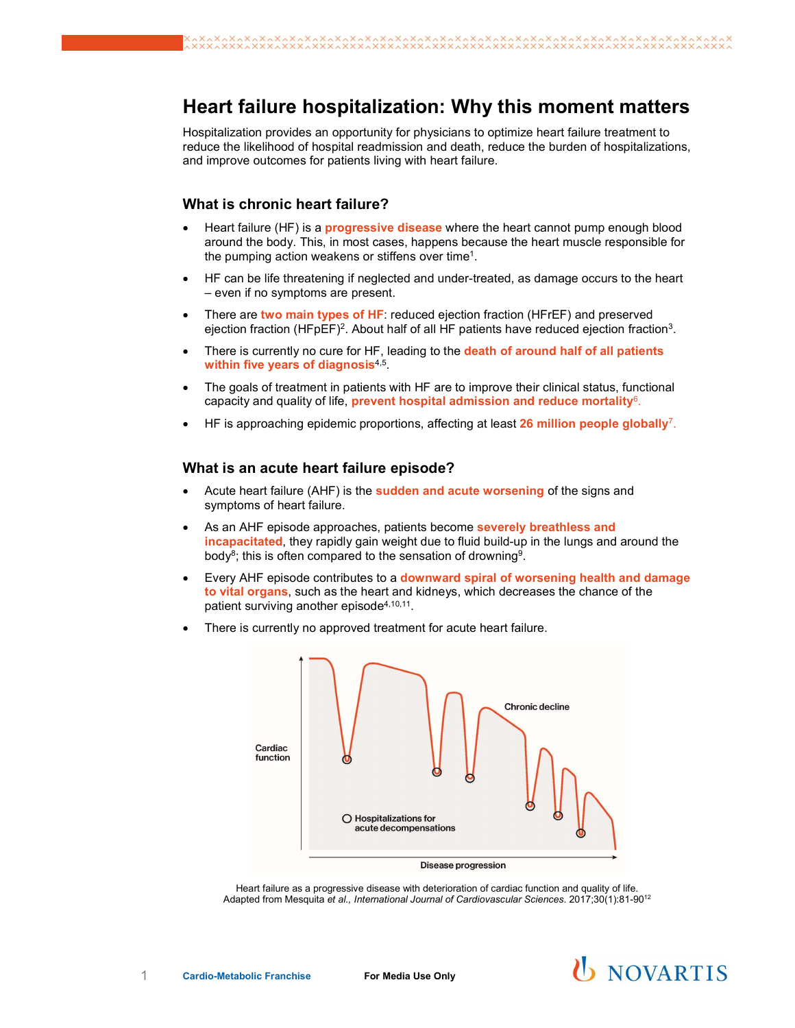# Heart failure hospitalization: Why this moment matters

Hospitalization provides an opportunity for physicians to optimize heart failure treatment to reduce the likelihood of hospital readmission and death, reduce the burden of hospitalizations, and improve outcomes for patients living with heart failure.

### What is chronic heart failure?

- Heart failure (HF) is a **progressive disease** where the heart cannot pump enough blood around the body. This, in most cases, happens because the heart muscle responsible for the pumping action weakens or stiffens over time<sup>1</sup>. .
- HF can be life threatening if neglected and under-treated, as damage occurs to the heart – even if no symptoms are present.
- There are two main types of HF: reduced ejection fraction (HFrEF) and preserved ejection fraction (HFpEF)<sup>2</sup>. About half of all HF patients have reduced ejection fraction<sup>3</sup>.
- There is currently no cure for HF, leading to the **death of around half of all patients** within five years of diagnosis $^{4,5}$ . And the set of the set of the set of the set of the set of the set of the set of the set of the set of the set of the set of the set of the set of the set of the set of the set of th
- The goals of treatment in patients with HF are to improve their clinical status, functional capacity and quality of life, prevent hospital admission and reduce mortality $6$ . .
- HF is approaching epidemic proportions, affecting at least 26 million people globally<sup>7</sup>. .

#### What is an acute heart failure episode?

- Acute heart failure (AHF) is the **sudden and acute worsening** of the signs and symptoms of heart failure.
- As an AHF episode approaches, patients become **severely breathless and** incapacitated, they rapidly gain weight due to fluid build-up in the lungs and around the body $^8$ ; this is often compared to the sensation of drowning $^9$ .
- Every AHF episode contributes to a downward spiral of worsening health and damage to vital organs, such as the heart and kidneys, which decreases the chance of the patient surviving another  $\mathsf{episode}^{4,10,11}.$
- There is currently no approved treatment for acute heart failure.



Heart failure as a progressive disease with deterioration of cardiac function and quality of life. Adapted from Mesquita et al., International Journal of Cardiovascular Sciences. 2017;30(1):81-9012

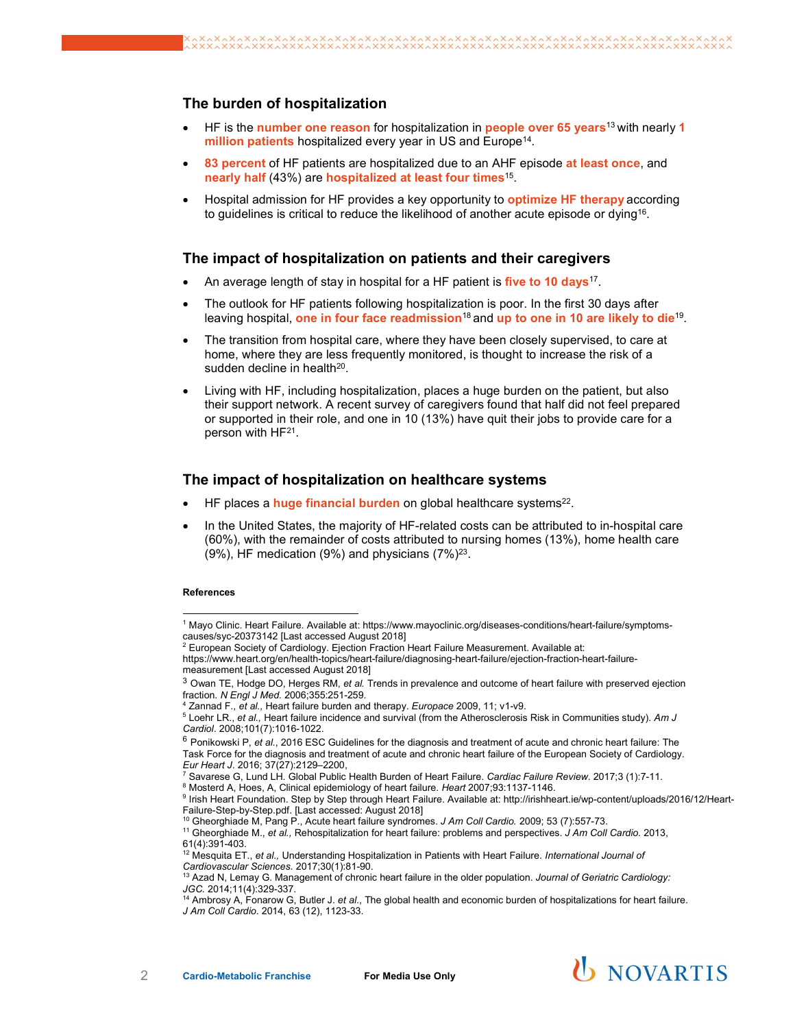## The burden of hospitalization

- HF is the number one reason for hospitalization in people over 65 years<sup>13</sup> with nearly 1 **million patients** hospitalized every year in US and Europe<sup>14</sup>.
- 83 percent of HF patients are hospitalized due to an AHF episode at least once, and nearly half (43%) are hospitalized at least four times<sup>15</sup>. .
- Hospital admission for HF provides a key opportunity to **optimize HF therapy** according to guidelines is critical to reduce the likelihood of another acute episode or dying $^{\mathsf{16}}$ .

### The impact of hospitalization on patients and their caregivers

- $\bullet$   $\,$  An average length of stay in hospital for a HF patient is **five to 10 days**<sup>17</sup>.
- The outlook for HF patients following hospitalization is poor. In the first 30 days after leaving hospital, <mark>one</mark> in four face readmission<sup>18</sup> and up to one in 10 are likely to die<sup>19</sup>.
- The transition from hospital care, where they have been closely supervised, to care at home, where they are less frequently monitored, is thought to increase the risk of a  $s$ udden decline in health $^{20}$ .
- Living with HF, including hospitalization, places a huge burden on the patient, but also their support network. A recent survey of caregivers found that half did not feel prepared or supported in their role, and one in 10 (13%) have quit their jobs to provide care for a person with HF21 .

### The impact of hospitalization on healthcare systems

- $\bullet$   $\,$  HF places a  $\,$ huge financial burden on global healthcare systems $^{22}.$
- In the United States, the majority of HF-related costs can be attributed to in-hospital care (60%), with the remainder of costs attributed to nursing homes (13%), home health care (9%), HF medication (9%) and physicians (7%) $^{23}$ .

#### References

 $\overline{a}$ 

<sup>14</sup> Ambrosy A, Fonarow G, Butler J. et al., The global health and economic burden of hospitalizations for heart failure. J Am Coll Cardio. 2014, 63 (12), 1123-33.



<sup>1</sup> Mayo Clinic. Heart Failure. Available at: https://www.mayoclinic.org/diseases-conditions/heart-failure/symptomscauses/syc-20373142 [Last accessed August 2018]

 $2$  European Society of Cardiology. Ejection Fraction Heart Failure Measurement. Available at:

https://www.heart.org/en/health-topics/heart-failure/diagnosing-heart-failure/ejection-fraction-heart-failuremeasurement [Last accessed August 2018]

<sup>3</sup> Owan TE, Hodge DO, Herges RM, et al. Trends in prevalence and outcome of heart failure with preserved ejection fraction. N Engl J Med. 2006;355:251-259.

Zannad F., et al., Heart failure burden and therapy. Europace 2009, 11; v1-v9.

 $5$  Loehr LR., et al., Heart failure incidence and survival (from the Atherosclerosis Risk in Communities study). Am J Cardiol. 2008;101(7):1016-1022.

 $6$  Ponikowski P, et al., 2016 ESC Guidelines for the diagnosis and treatment of acute and chronic heart failure: The Task Force for the diagnosis and treatment of acute and chronic heart failure of the European Society of Cardiology. Eur Heart J. 2016; 37(27):2129–2200,

<sup>&</sup>lt;sup>7</sup> Savarese G, Lund LH. Global Public Health Burden of Heart Failure. Cardiac Failure Review. 2017;3 (1):7-11.

<sup>8</sup> Mosterd A, Hoes, A, Clinical epidemiology of heart failure. Heart 2007;93:1137-1146.

<sup>9</sup> Irish Heart Foundation. Step by Step through Heart Failure. Available at: http://irishheart.ie/wp-content/uploads/2016/12/Heart-Failure-Step-by-Step.pdf. [Last accessed: August 2018]

<sup>&</sup>lt;sup>10</sup> Gheorghiade M, Pang P., Acute heart failure syndromes. J Am Coll Cardio. 2009; 53 (7):557-73.

<sup>&</sup>lt;sup>11</sup> Gheorghiade M., et al., Rehospitalization for heart failure: problems and perspectives. J Am Coll Cardio. 2013, 61(4):391-403.

<sup>&</sup>lt;sup>12</sup> Mesquita ET., *et al.,* Understanding Hospitalization in Patients with Heart Failure. *International Journal of* Cardiovascular Sciences. 2017;30(1):81-90.

 $^{13}$  Azad N, Lemay G. Management of chronic heart failure in the older population. Journal of Geriatric Cardiology: JGC. 2014;11(4):329-337.